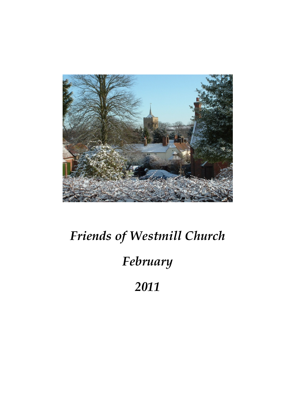

## Friends of Westmill Church February 2011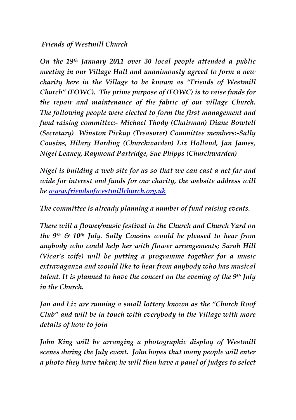## Friends of Westmill Church

On the 19th January 2011 over 30 local people attended a public meeting in our Village Hall and unanimously agreed to form a new charity here in the Village to be known as "Friends of Westmill Church" (FOWC). The prime purpose of (FOWC) is to raise funds for the repair and maintenance of the fabric of our village Church. The following people were elected to form the first management and fund raising committee:- Michael Thody (Chairman) Diane Bowtell (Secretary) Winston Pickup (Treasurer) Committee members:-Sally Cousins, Hilary Harding (Churchwarden) Liz Holland, Jan James, Nigel Leaney, Raymond Partridge, Sue Phipps (Churchwarden)

Nigel is building a web site for us so that we can cast a net far and wide for interest and funds for our charity, the website address will be www.friendsofwestmillchurch.org.uk

The committee is already planning a number of fund raising events.

There will a flower/music festival in the Church and Church Yard on the 9<sup>th</sup> & 10<sup>th</sup> July. Sally Cousins would be pleased to hear from anybody who could help her with flower arrangements; Sarah Hill (Vicar's wife) will be putting a programme together for a music extravaganza and would like to hear from anybody who has musical talent. It is planned to have the concert on the evening of the 9<sup>th</sup> July in the Church.

Jan and Liz are running a small lottery known as the "Church Roof Club" and will be in touch with everybody in the Village with more details of how to join

John King will be arranging a photographic display of Westmill scenes during the July event. John hopes that many people will enter a photo they have taken; he will then have a panel of judges to select